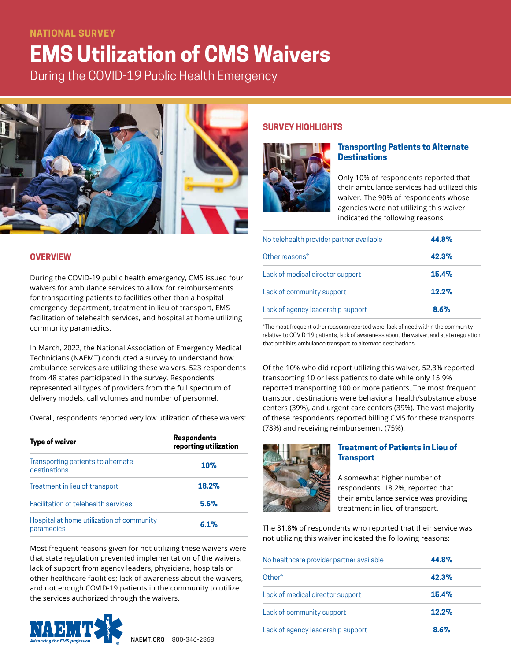# **NATIONAL SURVEY**

# **EMS Utilization of CMS Waivers**

During the COVID-19 Public Health Emergency



## **OVERVIEW**

During the COVID-19 public health emergency, CMS issued four waivers for ambulance services to allow for reimbursements for transporting patients to facilities other than a hospital emergency department, treatment in lieu of transport, EMS facilitation of telehealth services, and hospital at home utilizing community paramedics.

In March, 2022, the National Association of Emergency Medical Technicians (NAEMT) conducted a survey to understand how ambulance services are utilizing these waivers. 523 respondents from 48 states participated in the survey. Respondents represented all types of providers from the full spectrum of delivery models, call volumes and number of personnel.

Overall, respondents reported very low utilization of these waivers:

| <b>Type of waiver</b>                                   | <b>Respondents</b><br>reporting utilization |
|---------------------------------------------------------|---------------------------------------------|
| Transporting patients to alternate<br>destinations      | 10%                                         |
| Treatment in lieu of transport                          | 18.2%                                       |
| <b>Facilitation of telehealth services</b>              | 5.6%                                        |
| Hospital at home utilization of community<br>paramedics | 6.1%                                        |

Most frequent reasons given for not utilizing these waivers were that state regulation prevented implementation of the waivers; lack of support from agency leaders, physicians, hospitals or other healthcare facilities; lack of awareness about the waivers, and not enough COVID-19 patients in the community to utilize the services authorized through the waivers.



### **SURVEY HIGHLIGHTS**



# **Transporting Patients to Alternate Destinations**

Only 10% of respondents reported that their ambulance services had utilized this waiver. The 90% of respondents whose agencies were not utilizing this waiver indicated the following reasons:

| No telehealth provider partner available | 44.8%   |
|------------------------------------------|---------|
| Other reasons*                           | 42.3%   |
| Lack of medical director support         | 15.4%   |
| Lack of community support                | 12.2%   |
| Lack of agency leadership support        | $8.6\%$ |

\*The most frequent other reasons reported were: lack of need within the community relative to COVID-19 patients, lack of awareness about the waiver, and state regulation that prohibits ambulance transport to alternate destinations.

Of the 10% who did report utilizing this waiver, 52.3% reported transporting 10 or less patients to date while only 15.9% reported transporting 100 or more patients. The most frequent transport destinations were behavioral health/substance abuse centers (39%), and urgent care centers (39%). The vast majority of these respondents reported billing CMS for these transports (78%) and receiving reimbursement (75%).



### **Treatment of Patients in Lieu of Transport**

A somewhat higher number of respondents, 18.2%, reported that their ambulance service was providing treatment in lieu of transport.

The 81.8% of respondents who reported that their service was not utilizing this waiver indicated the following reasons:

| No healthcare provider partner available | 44.8% |
|------------------------------------------|-------|
| Other*                                   | 42.3% |
| Lack of medical director support         | 15.4% |
| Lack of community support                | 12.2% |
| Lack of agency leadership support        | 8.6%  |